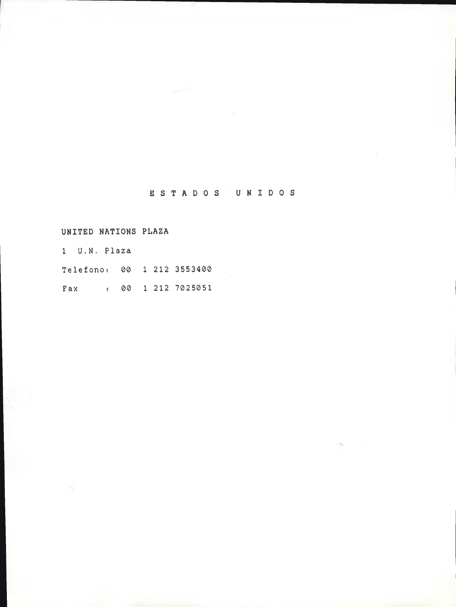## ESTADOS UNIDOS

UNITED NATIONS PLAZA

1 U.N. Plaza Te1efono: 00 1 212 3553400 Fax : 00 1 212 7025051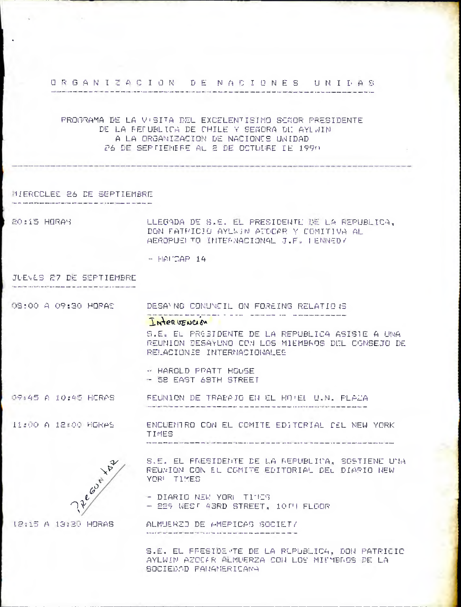### ORGANIZACION DE NACIONES UNIDAS

## PROGRAMA DE LA VISITA DEL EXCELENTISIMO SEGOR PRESIDENTE DE LA FELUBLICA DE CHILE Y SEÑORA DU AYLWIN A LA ORGANIZACION DE NACIONES UNIDAD 26 DE SEPTIEMERE AL 2 DE OCTUURE DE 1990

### MIERCOLES 26 DE SEPTIEMBRE

20:15 HORAN LLEGADA DE S.E. EL PRESIDENTE DE LA REPUBLICA. DON FATPICIO AYLWIN ATOCAR Y COMITIVA AL AEROPUEL TO INTERNACIONAL J.F. LENNEDY

 $HATCAP$  14

# JUEVES 27 DE SEPTIEMBRE

08:00 A 09:30 HORAS DESANNO CONUNCIL ON FOREING RELATIONS

#### INTERVENCIÓN

S.E. EL PRESIDENTE DE LA REPUBLICA ASISIE A UNA REUNION DESAYUNO CON LOS MIEMBROS DEL CONSEJO DE RELACIONES INTERNACIONALES

- HAROLD PRATT HOUSE - SE EAST 68TH STREET

OF:45 A 10:45 HERAS FEUNION DE TRABAJO EN EL HOPEL U.N. PLAZA

11:00 A 12:00 HORAS

ENCUENTRO CON EL COMITE EDITORIAL CEL NEW YORK **TIMES** 



S.E. EL PRESIDENTE DE LA REPUBLICA, SOSTIENE UNA REUNION CON EL COMITE EDITORIAL DEL DIARIO NEW YOR! TIMES

- DIARIO NEW YORK TIMES - 229 WEST 43RD STREET, 10TH FLOOR

ALMUERZD DE AMEPICAS SOCIETZ

S.E. EL FFESIDE TE DE LA RUPUBLICA, DON PATRICIO AYLWIN AZOCAR ALMUERZA CON LOS MILMBROS DE LA SOCIEDAD PANAMERICANA

**IR:15 A 13:30 HORAS**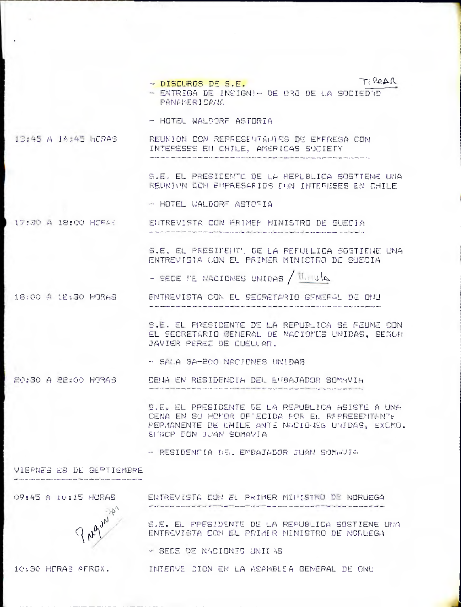TiREAR

- DISCUROS DE S.E. - ENTREGA DE INSIGN) - DE 030 DE LA SOCIEDAD PANAMERICANK.
- HOTEL WALDORF ASTORIA

29:45 A 14:45 HERAS REUNION CON REPFESENTAINES DE EMERESA CON INTERESES EN CHILE, AMERICAS SUCIETY

> S.E. EL PREBIDENTE DE LA REPUBLICA SOSTIENE UNA REUNION CON EUPRESAFIOS CON INTERESES EN CHILE

- HOTEL WALDORF ASTORIA

17:30 A 18:00 HORAS ENTREVISTA CON PRIMER MINISTRO DE SUECIA

> S.E. EL PRESIDENT'. DE LA PEFULLICA SOSTIENE UNA ENTREVISIA LON EL PRIMER MINISTRO DE SUECIA

- SEDE TE NACIONES UNIDAS / Herald

18:00 A 18:30 HORAS ENTREVISTA CON EL SEGRETARIO GENEFAL DE ONU

> S.E. EL PRESIDENTE DE LA REPUBLICA SE FEUNE CON EL SECRETARIO GEMERAL DE NACIONIS UNIDAS, SECUR JAVIER PEREZ DE CUELLAR.

-- SALA GA-200 NACIONES UNIDAS

20:30 A 22:00 H93AS CENA EN RESIDENCIA DEL ENBAJADOR SOMAVIA

> S.E. EL PPESIDENTE DE LA REPUBLICA ASISTE A UNA CENA EN SU HOMOR OF ECIDA FOR EL REPRESENTANTE PEP.1ANENTE DE CHILE ANTE NACIO ES UNIDAS, EXCMO. SINCP DON JUAN SOMAVIA

- RESIDENCIA DEL EMBAJADOR JUAN SOMHVIA

VIERNES 28 DE SEPTIEMBRE

09:45 A 10:15 HORAS



ENTREVISTA CON EL PRIMER MILLISTRO DE NORUEGA

S.E. EL PRESIDENTE DE LA REPUBLICA SOSTIENE UNA ENTREVISTA CON EL PRIMER NINISTRO DE NORUEGA

- SELE DE N'ICIONES UNII AS

10:30 HORAS AFROX.

INTERVE CION EN LA ASAMBLEA GENERAL DE ONU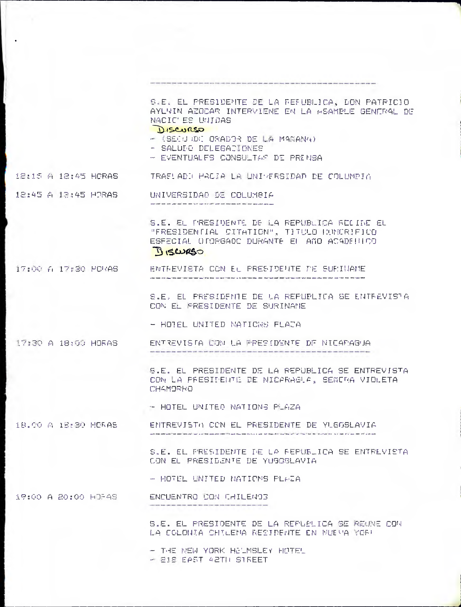|                     | S.E. EL PRESIDENTE DE LA FEFUBLICA, LON PATRICIO<br>AYLVIN AZOCAR INTERVIENE EN LA HSAMPLE GENERAL DE<br>NACIC ES UNIDAS<br>DISCURSO                                                                      |
|---------------------|-----------------------------------------------------------------------------------------------------------------------------------------------------------------------------------------------------------|
|                     | $-$ (SECU UDI ORADOR DE LA MANANA)<br>- SALUIO DELEGARIONES<br>- EVENTUALES CONSULTAR DE PREMBA                                                                                                           |
| 12:15 A 12:45 HORAS | -TRAFLADD HACIA LA UNIYERSIDAD DE COLUMPIA                                                                                                                                                                |
| 12:45 A 13:45 H7RAS | UNIVERSIDAO DE COLUMBIA                                                                                                                                                                                   |
|                     | S.E. EL PRESIDENTE DE LA REPUBLICA RECIDE EL<br>"FRESIDENTIAL CITATION", TITULO PUNDRIFICO<br>ESFECIAL UTORGADO DURANTE EL AÑO ACADELLOO<br>BISWRSO                                                       |
| 17:00 A 17:30 HORAS | ENTREVIETA CON EL PRESIDENTE DE SUPINAME                                                                                                                                                                  |
|                     | S.E. EL PRESIDENTE DE LA REPUPLICA SE ENTREVISTA<br>CON EL FRESIDENTE DE SURINAME                                                                                                                         |
|                     | - HOTEL UNITED NATIONS FLATA                                                                                                                                                                              |
| 17:30 A 18:00 HORAS | ENTREVISTA CON LA PPESIDENTE DE NICARAGUA<br>Who will take belt was first take and your cost one was play was was done and will was lost use you was and will have award and there are not one one of the |
|                     | S.E. EL PRESIDENTE DE LA REPUBLICA SE ENTREVISTA<br>CON LA PRESIDENTE DE NICARAGLA, SENCRA VIOLETA<br>CHAMORRO                                                                                            |
|                     | - HOTEL UNITED NATIONS PLAZA                                                                                                                                                                              |
| 18.00 A 18:30 HORAS | ENTREVISTO CON EL PRESIDENTE DE YLGGSLAVIA                                                                                                                                                                |
|                     | S.E. EL PRESIDENTE DE LA FEPUBLICA SE ENTREVISTA<br>CON EL PRESIDENTE DE YUGOSLAVIA                                                                                                                       |
|                     | - HOTEL UNITED NATIONS PLAZA                                                                                                                                                                              |
| 19:00 A 20:00 HTPAS | ENCUENTRO CON CHILENOS                                                                                                                                                                                    |
|                     | S.E. EL PRESIDENTE DE LA REPUBLICA SE REUNE COM<br>LA COLONIA CHILEMA RESIDENTE EN NUEVA YOR!                                                                                                             |
|                     | - THE NEW YORK HELMSLEY HOTEL                                                                                                                                                                             |

 $-$  E18 EPST 42TH STREET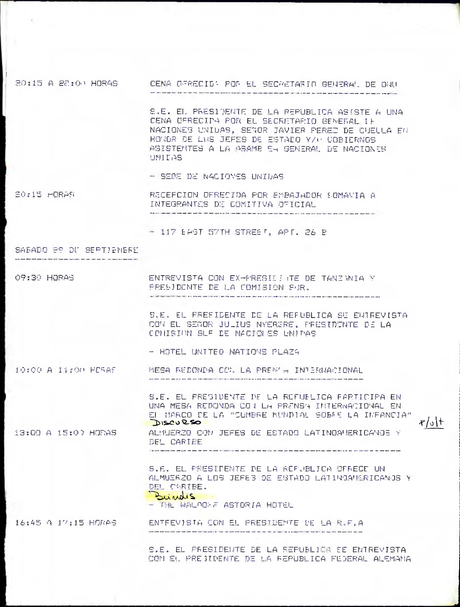20:15 A 22:00 HORAS CENA OFRECID' FOR EL SECRETARIO GENERAL DE ONU and the market of the market of the second contract of the contract of the second contract of the second

> S.E. EI. PRESIDENTE DE LA REPUBLICA ASISTE A UNA CENA DERECIPA POR EL SECRETAFIO GENERAL IF NACIONES UNIDAS, SENOR JAVIER PEREZ DE CUELLA EN HONDR DE LUS JEFES DE ESTADO Y/U COBIERNOS ASISTEMTES A LA ASAMB EN GENERAL DE NACIONES UNITAS

- SEDE DE NACIONES UNIDAS

ED:15 HORAS RECEPCION OFRESIDA POR EMBAJADOR SOMANIA A INTEGRANTES DE COMITIVA OFICIAL

- 117 EAST 57TH STREET, APT. 26 P

SABADO ES DU SEPTIENERE

09:30 HORAS ENTREVISTA CON EX-PRESILE JE DE TANZINIA Y PRESIDENTE DE LA COMISION SUR.

> S.E. EL PREFIDENTE DE LA REFUBLICA SE ENTREVISTA CON EL SEGOR JULIUS NYERERE, PRESIDENTE DE LA CONTSION SLF DE NACIONES UNIDAS

- HOTEL UNITED NATIONS PLAZA

10:00 A 11:00 HCRAS MESA REDONDA CO. LA PREM A INTERNACIONAL

> S.E. EL PRESIDENTE DE LA REFUELICA FARTICIPA EN UNA MESA REDONDA CO I LA PRENSA INTERNACIONAL EN EL MARCO DE LA "CUMBRE MUNDIAL SOBRE LA INFANCIA" DISCURSO ALMUERZO ORN JEFES DE ESTADO LATINOAMERICANOS Y

 $\mathcal{F}/\mathcal{F}$ 

13:00 A 15:00 HORAS

DEL CARIEE 

S.E. EL PRESIDENTE DE LA REPUBLICA DERECE UN ALMUERZO A LOS JEFES DE ESTADO LATINOAMERICANOS Y DEL CARIBE.

Buindis - THE WALDOMF ASTORIA HOTEL

16:45 A 17:15 HORAS ENTEEVISTA CON EL PRESIDENTE DE LA R.F.A

> S.E. EL PRESIDEUTE DE LA REPUBLICA SE ENTREVISTA CON EL PREJIDENTE DE LA FEPUBLICA FEJERAL ALEMANA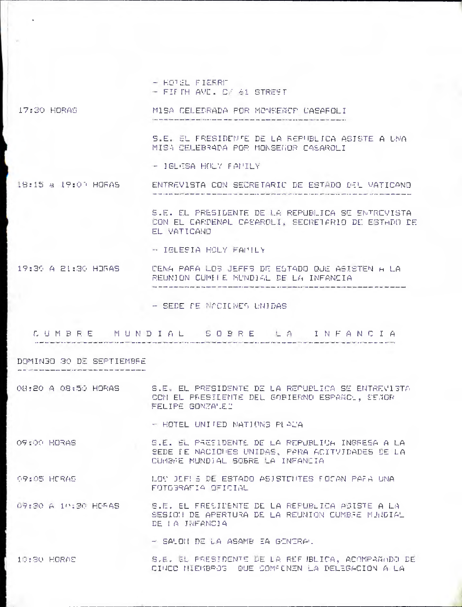- HOTEL FIERRE FIFTH AVE. O/ 61 STREET

17130 HORAS MISA CELEBRADA POR MONSENCP CASAROLI the second concerns the two man to the case of the second contract man and interests and the activities are made in contract man and the

> S.E. EL FRESIDENTE DE LA REPUBLICA ASISTE A UNA MISA CELEBRADA POR MONSEGOR CASAROLI

- IGLESA HOLY FAMILY

18:15 a 19:00 HORAS ENTREVISTA CON SECRETARIO DE ESTADO DEL VATICANO 

> S.E. EL PRESIDENTE DE LA REPUBLICA SE ENTREVISTA CON EL CARDENAL CASAROLI, SECRETARIO DE ESTADO DE EL VATICANO

- IGLESIA HOLY FAMILY

#### 19:30 A 81:30 HORAS CENA PARA LOS JEFES DE ESTADO QUE ASISTEN A LA REUNION CUMBRE MUNDIAL DE LA INFANCIA

- SEDE DE NACIONES UNIDAS

CUMBRE MUNDIAL. SOBRE LA INFANCIA

DOMINGO 30 DE SEPTIEMBRE

.<br>The first construction of the company and the company of the company of the company of the company of the comp

08:20 A 08150 HORAS S.F. EL PRESIDENTE DE LA REPUBLICA SE ENTREVISTA CON EL PRESILENTE DEL GOBIERNO ESPANO, SEMOR FELIPE GONZALEZ

- HOTEL UNITED NATIONS PLAZA

OS: OC. HORAS S.E. EL PRESIDENTE DE LA REPUBLICA INGRESA A LA SEDE IE NACIONES UNIDAS, PARA ACITVIDADES DE LA CUMBRE MUNDIAL SOBRE LA INFANCIA

09:05 HORAS LOS JEFES DE ESTADO ASISTENTES FOSAN PARA UNA FOTOSRAFIA OFICIAL

09130 A 10130 HORAS S.E. EL PRESIDENTE DE LA REPUBLICA ASISTE A LA SESION DE APERTURA DE LA REUNION CUMBSE MUNDIAL DE LA INFANCIA

- SALON DE LA ASAMB EA GENERAL

10:30 HORAS S.E. EL PRESIDENTE DE LA REFJBLICA, ACOMPAMODO DE ciwn MIEMBROS QUE COMPONEN LA DELEGAC ION A LA